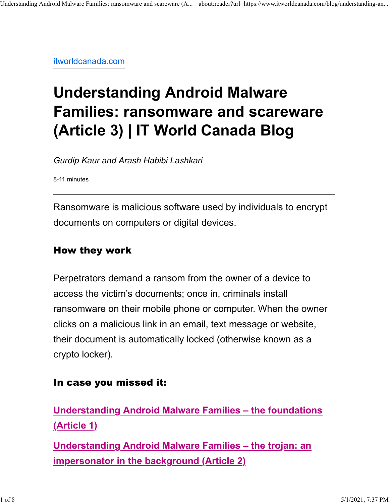itworldcanada.com

# **Understanding Android Malware Families: ransomware and scareware (Article 3) | IT World Canada Blog**

*Gurdip Kaur and Arash Habibi Lashkari*

8-11 minutes

Ransomware is malicious software used by individuals to encrypt documents on computers or digital devices.

#### How they work

Perpetrators demand a ransom from the owner of a device to access the victim's documents; once in, criminals install ransomware on their mobile phone or computer. When the owner clicks on a malicious link in an email, text message or website, their document is automatically locked (otherwise known as a crypto locker).

#### In case you missed it:

**Understanding Android Malware Families – the foundations (Article 1)**

**Understanding Android Malware Families – the trojan: an impersonator in the background (Article 2)**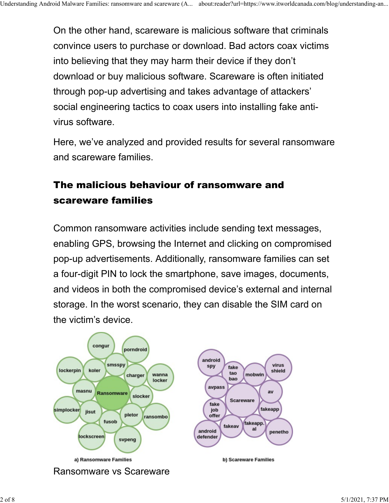On the other hand, scareware is malicious software that criminals convince users to purchase or download. Bad actors coax victims into believing that they may harm their device if they don't download or buy malicious software. Scareware is often initiated through pop-up advertising and takes advantage of attackers' social engineering tactics to coax users into installing fake antivirus software.

Here, we've analyzed and provided results for several ransomware and scareware families.

# The malicious behaviour of ransomware and scareware families

Common ransomware activities include sending text messages, enabling GPS, browsing the Internet and clicking on compromised pop-up advertisements. Additionally, ransomware families can set a four-digit PIN to lock the smartphone, save images, documents, and videos in both the compromised device's external and internal storage. In the worst scenario, they can disable the SIM card on the victim's device.

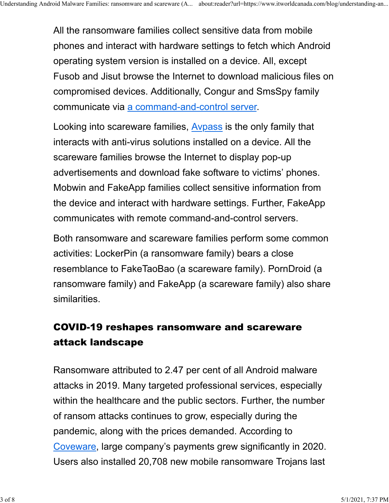All the ransomware families collect sensitive data from mobile phones and interact with hardware settings to fetch which Android operating system version is installed on a device. All, except Fusob and Jisut browse the Internet to download malicious files on compromised devices. Additionally, Congur and SmsSpy family communicate via a command-and-control server.

Looking into scareware families, Avpass is the only family that interacts with anti-virus solutions installed on a device. All the scareware families browse the Internet to display pop-up advertisements and download fake software to victims' phones. Mobwin and FakeApp families collect sensitive information from the device and interact with hardware settings. Further, FakeApp communicates with remote command-and-control servers.

Both ransomware and scareware families perform some common activities: LockerPin (a ransomware family) bears a close resemblance to FakeTaoBao (a scareware family). PornDroid (a ransomware family) and FakeApp (a scareware family) also share similarities.

# COVID-19 reshapes ransomware and scareware attack landscape

Ransomware attributed to 2.47 per cent of all Android malware attacks in 2019. Many targeted professional services, especially within the healthcare and the public sectors. Further, the number of ransom attacks continues to grow, especially during the pandemic, along with the prices demanded. According to Coveware, large company's payments grew significantly in 2020. Users also installed 20,708 new mobile ransomware Trojans last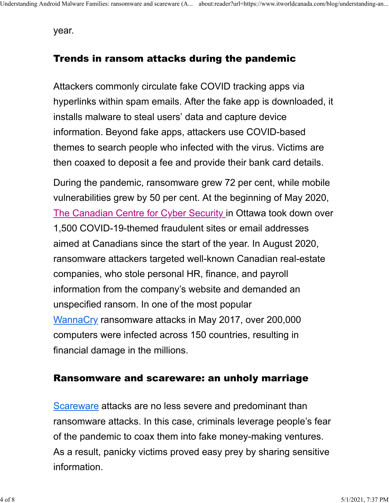year.

#### Trends in ransom attacks during the pandemic

Attackers commonly circulate fake COVID tracking apps via hyperlinks within spam emails. After the fake app is downloaded, it installs malware to steal users' data and capture device information. Beyond fake apps, attackers use COVID-based themes to search people who infected with the virus. Victims are then coaxed to deposit a fee and provide their bank card details.

During the pandemic, ransomware grew 72 per cent, while mobile vulnerabilities grew by 50 per cent. At the beginning of May 2020, The Canadian Centre for Cyber Security in Ottawa took down over 1,500 COVID-19-themed fraudulent sites or email addresses aimed at Canadians since the start of the year. In August 2020, ransomware attackers targeted well-known Canadian real-estate companies, who stole personal HR, finance, and payroll information from the company's website and demanded an unspecified ransom. In one of the most popular WannaCry ransomware attacks in May 2017, over 200,000 computers were infected across 150 countries, resulting in financial damage in the millions.

#### Ransomware and scareware: an unholy marriage

Scareware attacks are no less severe and predominant than ransomware attacks. In this case, criminals leverage people's fear of the pandemic to coax them into fake money-making ventures. As a result, panicky victims proved easy prey by sharing sensitive information.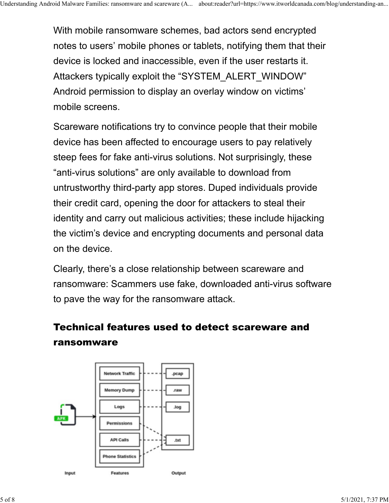With mobile ransomware schemes, bad actors send encrypted notes to users' mobile phones or tablets, notifying them that their device is locked and inaccessible, even if the user restarts it. Attackers typically exploit the "SYSTEM\_ALERT\_WINDOW" Android permission to display an overlay window on victims' mobile screens.

Scareware notifications try to convince people that their mobile device has been affected to encourage users to pay relatively steep fees for fake anti-virus solutions. Not surprisingly, these "anti-virus solutions" are only available to download from untrustworthy third-party app stores. Duped individuals provide their credit card, opening the door for attackers to steal their identity and carry out malicious activities; these include hijacking the victim's device and encrypting documents and personal data on the device.

Clearly, there's a close relationship between scareware and ransomware: Scammers use fake, downloaded anti-virus software to pave the way for the ransomware attack.

# Technical features used to detect scareware and ransomware

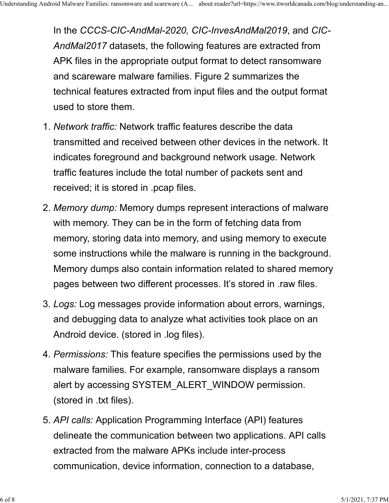In the *CCCS-CIC-AndMal-2020, CIC-InvesAndMal2019*, and *CIC-AndMal2017* datasets, the following features are extracted from APK files in the appropriate output format to detect ransomware and scareware malware families. Figure 2 summarizes the technical features extracted from input files and the output format used to store them.

- 1. *Network traffic:* Network traffic features describe the data transmitted and received between other devices in the network. It indicates foreground and background network usage. Network traffic features include the total number of packets sent and received; it is stored in .pcap files.
- 2. *Memory dump:* Memory dumps represent interactions of malware with memory. They can be in the form of fetching data from memory, storing data into memory, and using memory to execute some instructions while the malware is running in the background. Memory dumps also contain information related to shared memory pages between two different processes. It's stored in .raw files.
- 3. *Logs:* Log messages provide information about errors, warnings, and debugging data to analyze what activities took place on an Android device. (stored in .log files).
- 4. *Permissions:* This feature specifies the permissions used by the malware families. For example, ransomware displays a ransom alert by accessing SYSTEM\_ALERT\_WINDOW permission. (stored in .txt files).
- 5. *API calls:* Application Programming Interface (API) features delineate the communication between two applications. API calls extracted from the malware APKs include inter-process communication, device information, connection to a database,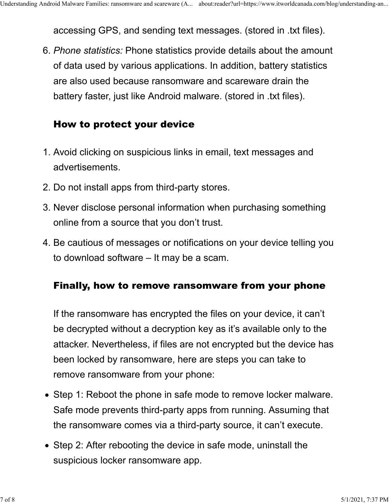accessing GPS, and sending text messages. (stored in .txt files).

6. *Phone statistics:* Phone statistics provide details about the amount of data used by various applications. In addition, battery statistics are also used because ransomware and scareware drain the battery faster, just like Android malware. (stored in .txt files).

## How to protect your device

- 1. Avoid clicking on suspicious links in email, text messages and advertisements.
- 2. Do not install apps from third-party stores.
- 3. Never disclose personal information when purchasing something online from a source that you don't trust.
- 4. Be cautious of messages or notifications on your device telling you to download software – It may be a scam.

## Finally, how to remove ransomware from your phone

If the ransomware has encrypted the files on your device, it can't be decrypted without a decryption key as it's available only to the attacker. Nevertheless, if files are not encrypted but the device has been locked by ransomware, here are steps you can take to remove ransomware from your phone:

- Step 1: Reboot the phone in safe mode to remove locker malware. Safe mode prevents third-party apps from running. Assuming that the ransomware comes via a third-party source, it can't execute.
- Step 2: After rebooting the device in safe mode, uninstall the suspicious locker ransomware app.